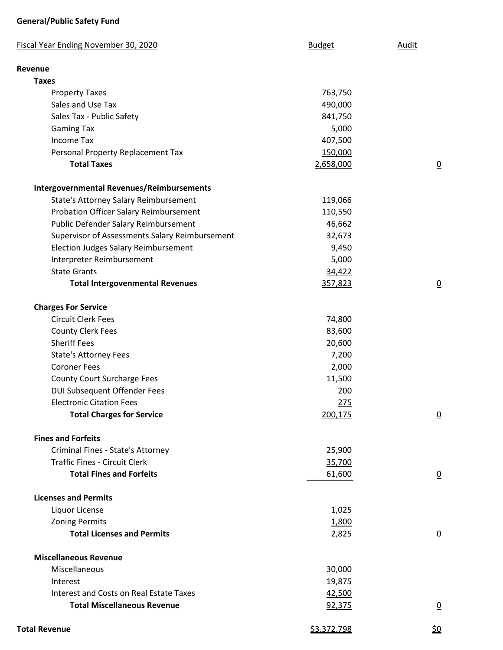## **General/Public Safety Fund**

| <b>Fiscal Year Ending November 30, 2020</b>      | <b>Budget</b> | <b>Audit</b>    |
|--------------------------------------------------|---------------|-----------------|
| Revenue                                          |               |                 |
| <b>Taxes</b>                                     |               |                 |
| <b>Property Taxes</b>                            | 763,750       |                 |
| Sales and Use Tax                                | 490,000       |                 |
| Sales Tax - Public Safety                        | 841,750       |                 |
| <b>Gaming Tax</b>                                | 5,000         |                 |
| <b>Income Tax</b>                                | 407,500       |                 |
| Personal Property Replacement Tax                | 150,000       |                 |
| <b>Total Taxes</b>                               | 2,658,000     | $\overline{0}$  |
| <b>Intergovernmental Revenues/Reimbursements</b> |               |                 |
| State's Attorney Salary Reimbursement            | 119,066       |                 |
| Probation Officer Salary Reimbursement           | 110,550       |                 |
| Public Defender Salary Reimbursement             | 46,662        |                 |
| Supervisor of Assessments Salary Reimbursement   | 32,673        |                 |
| <b>Election Judges Salary Reimbursement</b>      | 9,450         |                 |
| Interpreter Reimbursement                        | 5,000         |                 |
| <b>State Grants</b>                              | 34,422        |                 |
| <b>Total Intergovenmental Revenues</b>           | 357,823       | $\overline{0}$  |
| <b>Charges For Service</b>                       |               |                 |
| <b>Circuit Clerk Fees</b>                        | 74,800        |                 |
| <b>County Clerk Fees</b>                         | 83,600        |                 |
| <b>Sheriff Fees</b>                              | 20,600        |                 |
| <b>State's Attorney Fees</b>                     | 7,200         |                 |
| <b>Coroner Fees</b>                              | 2,000         |                 |
| <b>County Court Surcharge Fees</b>               | 11,500        |                 |
| DUI Subsequent Offender Fees                     | 200           |                 |
| <b>Electronic Citation Fees</b>                  | 275           |                 |
| <b>Total Charges for Service</b>                 | 200,175       | $\underline{0}$ |
| <b>Fines and Forfeits</b>                        |               |                 |
| Criminal Fines - State's Attorney                | 25,900        |                 |
| <b>Traffic Fines - Circuit Clerk</b>             | 35,700        |                 |
| <b>Total Fines and Forfeits</b>                  | 61,600        | $\overline{0}$  |
| <b>Licenses and Permits</b>                      |               |                 |
| Liquor License                                   | 1,025         |                 |
| <b>Zoning Permits</b>                            | 1,800         |                 |
| <b>Total Licenses and Permits</b>                | 2,825         | $\overline{0}$  |
| <b>Miscellaneous Revenue</b>                     |               |                 |
| Miscellaneous                                    | 30,000        |                 |
| Interest                                         | 19,875        |                 |
| Interest and Costs on Real Estate Taxes          | 42,500        |                 |
| <b>Total Miscellaneous Revenue</b>               | 92,375        | $\underline{0}$ |
| <b>Total Revenue</b>                             | \$3,372,798   | <u>\$0</u>      |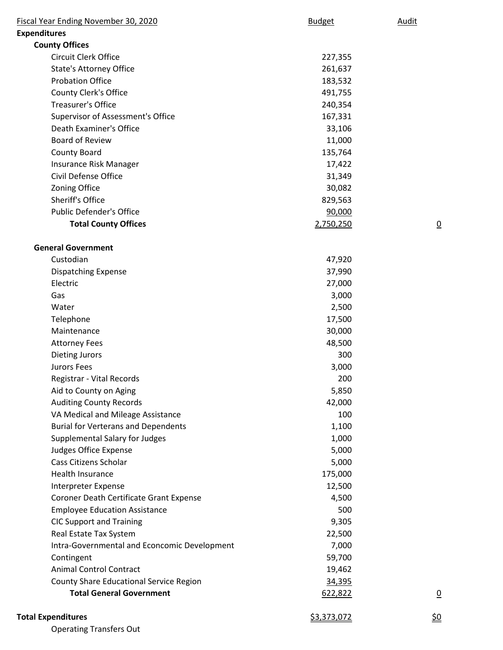| Fiscal Year Ending November 30, 2020         | <b>Budget</b> | Audit          |
|----------------------------------------------|---------------|----------------|
| <b>Expenditures</b>                          |               |                |
| <b>County Offices</b>                        |               |                |
| Circuit Clerk Office                         | 227,355       |                |
| <b>State's Attorney Office</b>               | 261,637       |                |
| <b>Probation Office</b>                      | 183,532       |                |
| <b>County Clerk's Office</b>                 | 491,755       |                |
| <b>Treasurer's Office</b>                    | 240,354       |                |
| Supervisor of Assessment's Office            | 167,331       |                |
| <b>Death Examiner's Office</b>               | 33,106        |                |
| <b>Board of Review</b>                       | 11,000        |                |
| <b>County Board</b>                          | 135,764       |                |
| Insurance Risk Manager                       | 17,422        |                |
| Civil Defense Office                         | 31,349        |                |
| Zoning Office                                | 30,082        |                |
| Sheriff's Office                             | 829,563       |                |
| <b>Public Defender's Office</b>              | 90,000        |                |
| <b>Total County Offices</b>                  | 2,750,250     | $\overline{0}$ |
| <b>General Government</b>                    |               |                |
| Custodian                                    | 47,920        |                |
| <b>Dispatching Expense</b>                   | 37,990        |                |
| Electric                                     | 27,000        |                |
| Gas                                          | 3,000         |                |
| Water                                        | 2,500         |                |
| Telephone                                    | 17,500        |                |
| Maintenance                                  | 30,000        |                |
| <b>Attorney Fees</b>                         | 48,500        |                |
| <b>Dieting Jurors</b>                        | 300           |                |
| Jurors Fees                                  | 3,000         |                |
| Registrar - Vital Records                    | 200           |                |
| Aid to County on Aging                       | 5,850         |                |
| <b>Auditing County Records</b>               | 42,000        |                |
| VA Medical and Mileage Assistance            | 100           |                |
| <b>Burial for Verterans and Dependents</b>   | 1,100         |                |
| Supplemental Salary for Judges               | 1,000         |                |
| Judges Office Expense                        | 5,000         |                |
| Cass Citizens Scholar                        | 5,000         |                |
| Health Insurance                             | 175,000       |                |
| Interpreter Expense                          | 12,500        |                |
| Coroner Death Certificate Grant Expense      | 4,500         |                |
| <b>Employee Education Assistance</b>         | 500           |                |
| <b>CIC Support and Training</b>              | 9,305         |                |
| Real Estate Tax System                       | 22,500        |                |
| Intra-Governmental and Econcomic Development | 7,000         |                |
| Contingent                                   | 59,700        |                |
| <b>Animal Control Contract</b>               | 19,462        |                |
| County Share Educational Service Region      | 34,395        |                |
| <b>Total General Government</b>              | 622,822       | $\overline{0}$ |
| <b>Total Expenditures</b>                    | \$3,373,072   | <u>\$0</u>     |

Operating Transfers Out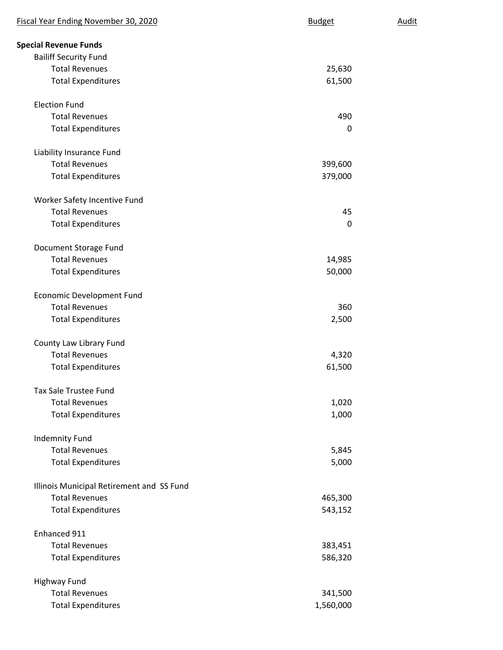| Fiscal Year Ending November 30, 2020      | <b>Budget</b> | Audit |
|-------------------------------------------|---------------|-------|
| <b>Special Revenue Funds</b>              |               |       |
| <b>Bailiff Security Fund</b>              |               |       |
| <b>Total Revenues</b>                     | 25,630        |       |
| <b>Total Expenditures</b>                 | 61,500        |       |
| <b>Election Fund</b>                      |               |       |
| <b>Total Revenues</b>                     | 490           |       |
| <b>Total Expenditures</b>                 | 0             |       |
| Liability Insurance Fund                  |               |       |
| <b>Total Revenues</b>                     | 399,600       |       |
| <b>Total Expenditures</b>                 | 379,000       |       |
| Worker Safety Incentive Fund              |               |       |
| <b>Total Revenues</b>                     | 45            |       |
| <b>Total Expenditures</b>                 | $\Omega$      |       |
| Document Storage Fund                     |               |       |
| <b>Total Revenues</b>                     | 14,985        |       |
| <b>Total Expenditures</b>                 | 50,000        |       |
| <b>Economic Development Fund</b>          |               |       |
| <b>Total Revenues</b>                     | 360           |       |
| <b>Total Expenditures</b>                 | 2,500         |       |
| County Law Library Fund                   |               |       |
| <b>Total Revenues</b>                     | 4,320         |       |
| <b>Total Expenditures</b>                 | 61,500        |       |
| <b>Tax Sale Trustee Fund</b>              |               |       |
| <b>Total Revenues</b>                     | 1,020         |       |
| <b>Total Expenditures</b>                 | 1,000         |       |
| <b>Indemnity Fund</b>                     |               |       |
| <b>Total Revenues</b>                     | 5,845         |       |
| <b>Total Expenditures</b>                 | 5,000         |       |
| Illinois Municipal Retirement and SS Fund |               |       |
| <b>Total Revenues</b>                     | 465,300       |       |
| <b>Total Expenditures</b>                 | 543,152       |       |
| Enhanced 911                              |               |       |
| <b>Total Revenues</b>                     | 383,451       |       |
| <b>Total Expenditures</b>                 | 586,320       |       |
| <b>Highway Fund</b>                       |               |       |
| <b>Total Revenues</b>                     | 341,500       |       |
| <b>Total Expenditures</b>                 | 1,560,000     |       |
|                                           |               |       |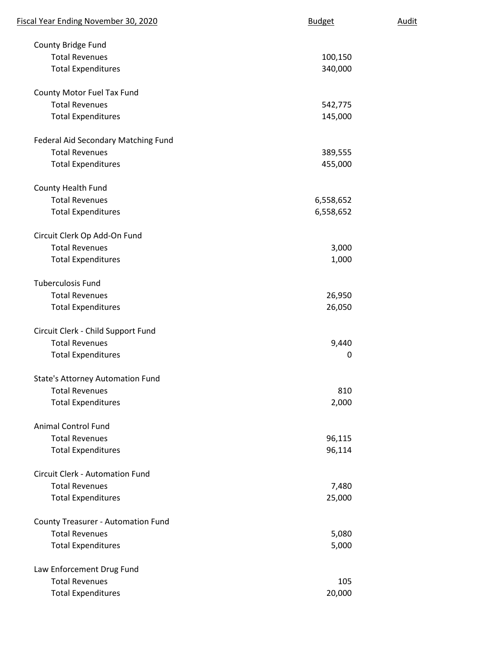| Fiscal Year Ending November 30, 2020      | <b>Budget</b> | <u>Audit</u> |
|-------------------------------------------|---------------|--------------|
| County Bridge Fund                        |               |              |
| <b>Total Revenues</b>                     | 100,150       |              |
| <b>Total Expenditures</b>                 | 340,000       |              |
| County Motor Fuel Tax Fund                |               |              |
| <b>Total Revenues</b>                     | 542,775       |              |
| <b>Total Expenditures</b>                 | 145,000       |              |
| Federal Aid Secondary Matching Fund       |               |              |
| <b>Total Revenues</b>                     | 389,555       |              |
| <b>Total Expenditures</b>                 | 455,000       |              |
| County Health Fund                        |               |              |
| <b>Total Revenues</b>                     | 6,558,652     |              |
| <b>Total Expenditures</b>                 | 6,558,652     |              |
| Circuit Clerk Op Add-On Fund              |               |              |
| <b>Total Revenues</b>                     | 3,000         |              |
| <b>Total Expenditures</b>                 | 1,000         |              |
| <b>Tuberculosis Fund</b>                  |               |              |
| <b>Total Revenues</b>                     | 26,950        |              |
| <b>Total Expenditures</b>                 | 26,050        |              |
| Circuit Clerk - Child Support Fund        |               |              |
| <b>Total Revenues</b>                     | 9,440         |              |
| <b>Total Expenditures</b>                 | 0             |              |
| <b>State's Attorney Automation Fund</b>   |               |              |
| <b>Total Revenues</b>                     | 810           |              |
| <b>Total Expenditures</b>                 | 2,000         |              |
| <b>Animal Control Fund</b>                |               |              |
| <b>Total Revenues</b>                     | 96,115        |              |
| <b>Total Expenditures</b>                 | 96,114        |              |
| <b>Circuit Clerk - Automation Fund</b>    |               |              |
| <b>Total Revenues</b>                     | 7,480         |              |
| <b>Total Expenditures</b>                 | 25,000        |              |
| <b>County Treasurer - Automation Fund</b> |               |              |
| <b>Total Revenues</b>                     | 5,080         |              |
| <b>Total Expenditures</b>                 | 5,000         |              |
| Law Enforcement Drug Fund                 |               |              |
| <b>Total Revenues</b>                     | 105           |              |
| <b>Total Expenditures</b>                 | 20,000        |              |